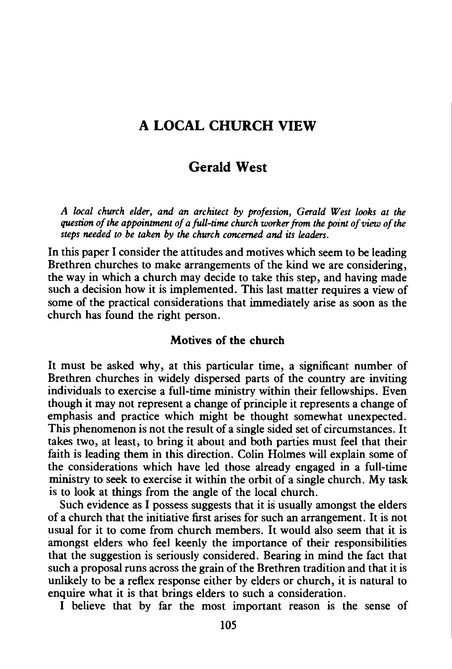# A LOCAL CHURCH VIEW

## Gerald West

*A local church elder, and an architect by profession, Gerald West looks at the question of the appointment of a full-time church worker from the point of view of the steps needed to be taken by the church concerned and its leaders.* 

In this paper I consider the attitudes and motives which seem to be leading Brethren churches to make arrangements of the kind we are considering, the way in which a church may decide to take this step, and having made such a decision how it is implemented. This last matter requires a view of some of the practical considerations that immediately arise as soon as the church has found the right person.

### Motives of the church

It must be asked why, at this particular time, a significant number of Brethren churches in widely dispersed parts of the country are inviting individuals to exercise a full-time ministry within their fellowships. Even though it may not represent a change of principle it represents a change of emphasis and practice which might be thought somewhat unexpected. This phenomenon is not the result of a single sided set of circumstances. It takes two, at least, to bring it about and both parties must feel that their faith is leading them in this direction. Colin Holmes will explain some of the considerations which have led those already engaged in a full-time ministry to seek to exercise it within the orbit of a single church. My task is to look at things from the angle of the local church.

Such evidence as I possess suggests that it is usually amongst the elders of a church that the initiative first arises for such an arrangement. It is not usual for it to come from church members. It would also seem that it is amongst elders who feel keenly the importance of their responsibilities that the suggestion is seriously considered. Bearing in mind the fact that such a proposal runs across the grain of the Brethren tradition and that it is unlikely to be a reflex response either by elders or church, it is natural to enquire what it is that brings elders to such a consideration.

I believe that by far the most important reason is the sense of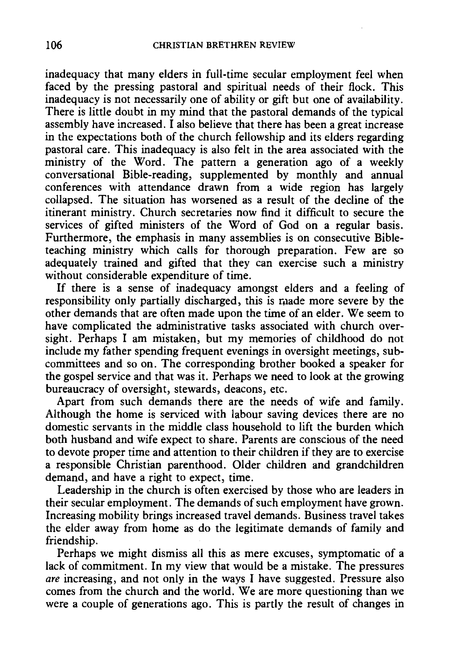inadequacy that many elders in full-time secular employment feel when faced by the pressing pastoral and spiritual needs of their flock. This inadequacy is not necessarily one of ability or gift but one of availability. There is little doubt in my mind that the pastoral demands of the typical assembly have increased. I also believe that there has been a great increase in the expectations both of the church fellowship and its elders regarding pastoral care. This inadequacy is also felt in the area associated with the ministry of the Word. The pattern a generation ago of a weekly conversational Bible-reading, supplemented by monthly and annual conferences with attendance drawn from a wide region has largely collapsed. The situation has worsened as a result of the decline of the itinerant ministry. Church secretaries now find it difficult to secure the services of gifted ministers of the Word of God on a regular basis. Furthermore, the emphasis in many assemblies is on consecutive Bibleteaching ministry which calls for thorough preparation. Few are so adequately trained and gifted that they can exercise such a ministry without considerable expenditure of time.

If there is a sense of inadequacy amongst elders and a feeling of responsibility only partially discharged, this is made more severe by the other demands that are often made upon the time of an elder. We seem to have complicated the administrative tasks associated with church oversight. Perhaps I am mistaken, but my memories of childhood do not include my father spending frequent evenings in oversight meetings, subcommittees and so on. The corresponding brother booked a speaker for the gospel service and that was it. Perhaps we need to look at the growing bureaucracy of oversight, stewards, deacons, etc.

Apart from such demands there are the needs of wife and family. Although the home is serviced with labour saving devices there are no domestic servants in the middle class household to lift the burden which both husband and wife expect to share. Parents are conscious of the need to devote proper time and attention to their children if they are to exercise a responsible Christian parenthood. Older children and grandchildren demand, and have a right to expect, time.

Leadership in the church is often exercised by those who are leaders in their secular employment. The demands of such employment have grown. Increasing mobility brings increased travel demands. Business travel takes the elder away from home as do the legitimate demands of family and friendship.

Perhaps we might dismiss all this as mere excuses, symptomatic of a lack of commitment. In my view that would be a mistake. The pressures *are* increasing, and not only in the ways I have suggested. Pressure also comes from the church and the world. We are more questioning than we were a couple of generations ago. This is partly the result of changes in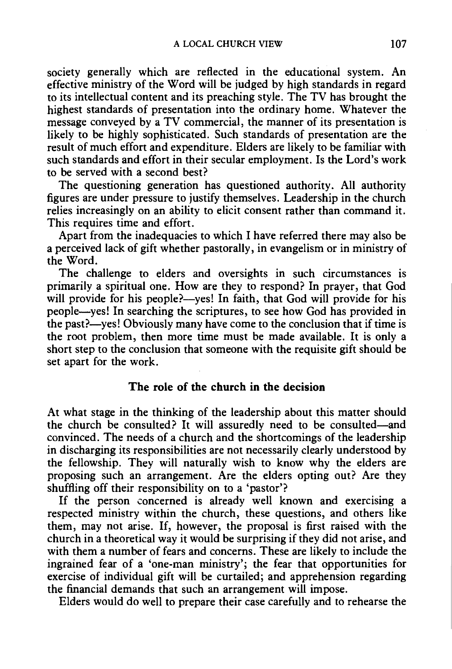society generally which are reflected in the educational system. An effective ministry of the Word will be judged by high standards in regard to its intellectual content and its preaching style. The TV has brought the highest standards of presentation into the ordinary home. Whatever the message conveyed by a TV commercial, the manner of its presentation is likely to be highly sophisticated. Such standards of presentation are the result of much effort and expenditure. Elders are likely to be familiar with such standards and effort in their secular employment. Is the Lord's work to be served with a second best?

The questioning generation has questioned authority. All authority figures are under pressure to justify themselves. Leadership in the church relies increasingly on an ability to elicit consent rather than command it. This requires time and effort.

Apart from the inadequacies to which I have referred there may also be a perceived lack of gift whether pastorally, in evangelism or in ministry of the Word.

The challenge to elders and oversights in such circumstances is primarily a spiritual one. How are they to respond? In prayer, that God will provide for his people?--yes! In faith, that God will provide for his people-yes! In searching the scriptures, to see how God has provided in the past?-yes! Obviously many have come to the conclusion that if time is the root problem, then more time must be made available. It is only a short step to the conclusion that someone with the requisite gift should be set apart for the work.

#### The role of the church in the decision

At what stage in the thinking of the leadership about this matter should the church be consulted? It will assuredly need to be consulted-and convinced. The needs of a church and the shortcomings of the leadership in discharging its responsibilities are not necessarily clearly understood by the fellowship. They will naturally wish to know why the elders are proposing such an arrangement. Are the elders opting out? Are they shuffling off their responsibility on to a 'pastor'?

If the person concerned is already well known and exercising a respected ministry within the church, these questions, and others like them, may not arise. If, however, the proposal is first raised with the church in a theoretical way it would be surprising if they did not arise, and with them a number of fears and concerns. These are likely to include the ingrained fear of a 'one-man ministry'; the fear that opportunities for exercise of individual gift will be curtailed; and apprehension regarding the financial demands that such an arrangement will impose.

Elders would do well to prepare their case carefully and to rehearse the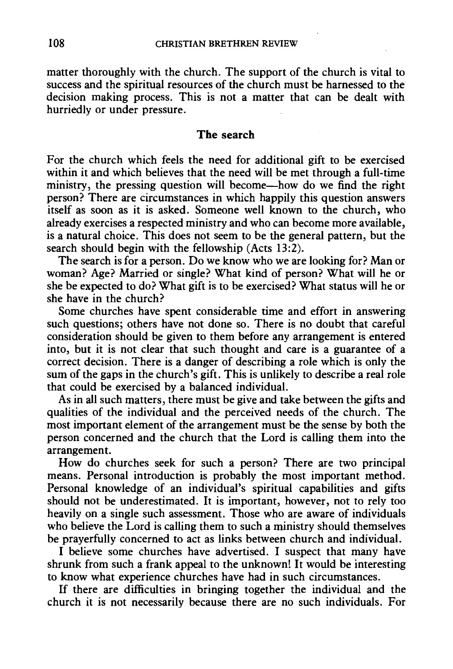matter thoroughly with the church. The support of the church is vital to success and the spiritual resources of the church must be harnessed to the decision making process. This is not a matter that can be dealt with hurriedly or under pressure.

#### **The search**

For the church which feels the need for additional gift to be exercised within it and which believes that the need will be met through a full-time ministry, the pressing question will become—how do we find the right person? There are circumstances in which happily this question answers itself as soon as it is asked. Someone well known to the church, who already exercises a respected ministry and who can become more available, is a natural choice. This does not seem to be the general pattern, but the search should begin with the fellowship  $(Acts 13:2)$ .

The search is for a person. Do we know who we are looking for? Man or woman? Age? Married or single? What kind of person? What will he or she be expected to do? What gift is to be exercised? What status will he or she have in the church?

Some churches have spent considerable time and effort in answering such questions; others have not done so. There is no doubt that careful consideration should be given to them before any arrangement is entered into, but it is not clear that such thought and care is a guarantee of a correct decision. There is a danger of describing a role which is only the sum of the gaps in the church's gift. This is unlikely to describe a real role that could be exercised by a balanced individual.

As in all such matters, there must be give and take between the gifts and qualities of the individual and the perceived needs of the church. The most important element of the arrangement must be the sense by both the person concerned and the church that the Lord is calling them into the arrangement.

How do churches seek for such a person? There are two principal means. Personal introduction is probably the most important method. Personal knowledge of an individual's spiritual capabilities and gifts should not be underestimated. It is important, however, not to rely too heavily on a single such assessment. Those who are aware of individuals who believe the Lord is calling them to such a ministry should themselves be prayerfully concerned to act as links between church and individual.

I believe some churches have advertised. I suspect that many have shrunk from such a frank appeal to the unknown! It would be interesting to know what experience churches have had in such circumstances.

If there are difficulties in bringing together the individual and the church it is not necessarily because there are no such individuals. For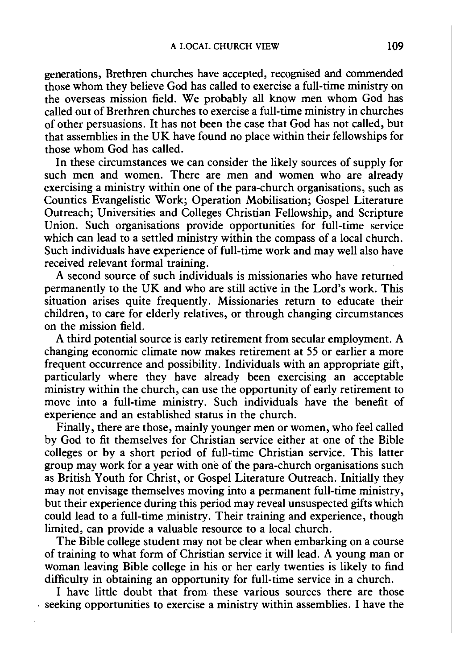generations, Brethren churches have accepted, recognised and commended those whom they believe God has called to exercise a full-time ministry on the overseas mission field. We probably all know men whom God has called out of Brethren churches to exercise a full-time ministry in churches of other persuasions. It has not been the case that God has not called, but that assemblies in the UK have found no place within their fellowships for those whom God has called.

In these circumstances we can consider the likely sources of supply for such men and women. There are men and women who are already exercising a ministry within one of the para-church organisations, such as Counties Evangelistic Work; Operation Mobilisation; Gospel Literature Outreach; Universities and Colleges Christian Fellowship, and Scripture Union. Such organisations provide opportunities for full-time service which can lead to a settled ministry within the compass of a local church. Such individuals have experience of full-time work and may well also have received relevant formal training.

A second source of such individuals is missionaries who have returned permanently to the UK and who are still active in the Lord's work. This situation arises quite frequently. Missionaries return to educate their children, to care for elderly relatives, or through changing circumstances on the mission field.

A third potential source is early retirement from secular employment. A changing economic climate now makes retirement at SS or earlier a more frequent occurrence and possibility. Individuals with an appropriate gift, particularly where they have already been exercising an acceptable ministry within the church, can use the opportunity of early retirement to move into a full-time ministry. Such individuals have the benefit of experience and an established status in the church.

Finally, there are those, mainly younger men or women, who feel called by God to fit themselves for Christian service either at one of the Bible colleges or by a short period of full-time Christian service. This latter group may work for a year with one of the para-church organisations such as British Youth for Christ, or Gospel Literature Outreach. Initially they may not envisage themselves moving into a permanent full-time ministry, but their experience during this period may reveal unsuspected gifts which could lead to a full-time ministry. Their training and experience, though limited, can provide a valuable resource to a local church.

The Bible college student may not be clear when embarking on a course of training to what form of Christian service it will lead. A young man or woman leaving Bible college in his or her early twenties is likely to find difficulty in obtaining an opportunity for full-time service in a church.

I have little doubt that from these various sources there are those . seeking opportunities to exercise a ministry within assemblies. I have the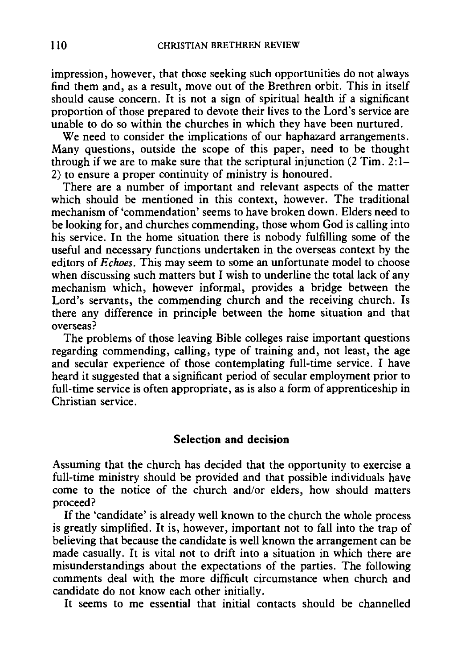impression, however, that those seeking such opportunities do not always find them and, as a result, move out of the Brethren orbit. This in itself should cause concern. It is not a sign of spiritual health if a significant proportion of those prepared to devote their lives to the Lord's service are unable to do so within the churches in which they have been nurtured.

We need to consider the implications of our haphazard arrangements. Many questions, outside the scope of this paper, need to be thought through if we are to make sure that the scriptural injunction  $(2 \text{ Tim. } 2)$ : 1– 2) to ensure a proper continuity of ministry is honoured.

There are a number of important and relevant aspects of the matter which should be mentioned in this context, however. The traditional mechanism of 'commendation' seems to have broken down. Elders need to be looking for, and churches commending, those whom God is calling into his service. In the home situation there is nobody fulfilling some of the useful and necessary functions undertaken in the overseas context by the editors of *Echoes.* This may seem to some an unfortunate model to choose when discussing such matters but I wish to underline the total lack of any mechanism which, however informal, provides a bridge between the Lord's servants, the commending church and the receiving church. Is there any difference in principle between the home situation and that overseas?

The problems of those leaving Bible colleges raise important questions regarding commending, calling, type of training and, not least, the age and secular experience of those contemplating full-time service. I have heard it suggested that a significant period of secular employment prior to full-time service is often appropriate, as is also a form of apprenticeship in Christian service.

#### **Selection and decision**

Assuming that the church has decided that the opportunity to exercise a full-time ministry should be provided and that possible individuals have come to the notice of the church and/or elders, how should matters proceed?

If the 'candidate' is already well known to the church the whole process is greatly simplified. It is, however, important not to fall into the trap of believing that because the candidate is well known the arrangement can be made casually. It is vital not to drift into a situation in which there are misunderstandings about the expectations of the parties. The following comments deal with the more difficult circumstance when church and candidate do not know each other initially.

It seems to me essential that initial contacts should be channelled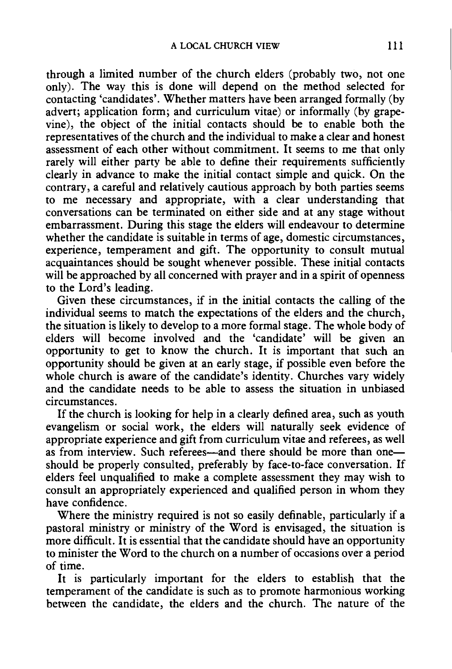through a limited number of the church elders (probably two, not one only). The way this is done will depend on the method selected for contacting 'candidates'. Whether matters have been arranged formally (by advert; application form; and curriculum vitae) or informally (by grapevine), the object of the initial contacts should be to enable both the representatives of the church and the individual to make a clear and honest assessment of each other without commitment. It seems to me that only rarely will either party be able to define their requirements sufficiently clearly in advance to make the initial contact simple and quick. On the contrary, a careful and relatively cautious approach by both parties seems to me necessary and appropriate, with a clear understanding that conversations can be terminated on either side and at any stage without embarrassment. During this stage the elders will endeavour to determine whether the candidate is suitable in terms of age, domestic circumstances, experience, temperament and gift. The opportunity to consult mutual acquaintances should be sought whenever possible. These initial contacts will be approached by all concerned with prayer and in a spirit of openness to the Lord's leading.

Given these circumstances, if in the initial contacts the calling of the individual seems to match the expectations of the elders and the church, the situation is likely to develop to a more formal stage. The whole body of elders will become involved and the 'candidate' will be given an opportunity to get to know the church. It is important that such an opportunity should be given at an early stage, if possible even before the whole church is aware of the candidate's identity. Churches vary widely and the candidate needs to be able to assess the situation in unbiased circumstances.

If the church is looking for help in a clearly defined area, such as youth evangelism or social work, the elders will naturally seek evidence of appropriate experience and gift from curriculum vitae and referees, as well as from interview. Such referees-and there should be more than oneshould be properly consulted, preferably by face-to-face conversation. If elders feel unqualified to make a complete assessment they may wish to consult an appropriately experienced and qualified person in whom they have confidence.

Where the ministry required is not so easily definable, particularly if a pastoral ministry or ministry of the Word is envisaged, the situation is more difficult. It is essential that the candidate should have an opportunity to minister the Word to the church on a number of occasions over a period of time.

It is particularly important for the elders to establish that the temperament of the candidate is such as to promote harmonious working between the candidate, the elders and the church. The nature of the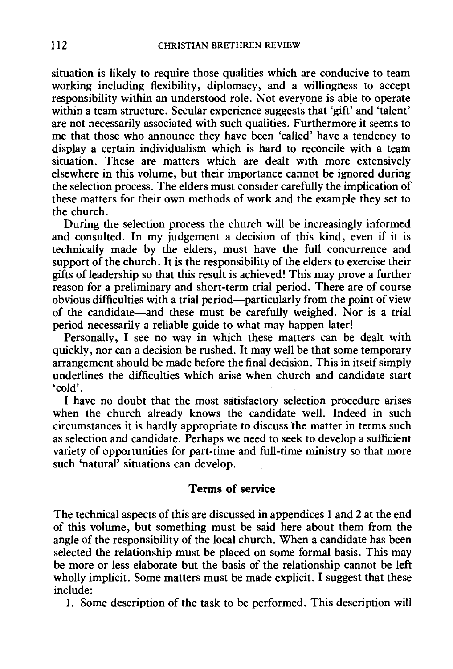*situation is* likely to require those qualities which are conducive to team working including flexibility, diplomacy, and a willingness to accept responsibility within an understood role. Not everyone *is* able to operate within a team structure. Secular experience suggests that 'gift' and 'talent' are not necessarily associated with such qualities. Furthermore *it* seems to me that those who announce they have been 'called' have a tendency to display a certain *individualism* which *is* hard to reconcile with a team situation. These are matters which are dealt with more extensively elsewhere *in* this volume, but their importance cannot be ignored during the selection process. The elders must consider carefully the implication of these matters for their own methods of work and the example they set to the church.

During the selection process the church will be increasingly informed and consulted. In my judgement a decision of this kind, even if it is technically made by the elders, must have the full concurrence and support of the church. It is the responsibility of the elders to exercise their gifts of leadership so that this result is achieved! This may prove a further reason for a preliminary and short-term trial period. There are of course obvious difficulties with a trial period-particularly from the point of view of the candidate-and these must be carefully weighed. Nor is a trial period necessarily a reliable guide to what may happen later!

Personally, I see no way *in* which these matters can be dealt with quickly, nor can a decision be rushed. It may well be that some temporary arrangement should be made before the final decision. This in itself simply underlines the difficulties which arise when church and candidate start 'cold'.

I have no doubt that the most satisfactory selection procedure arises when the church already knows the candidate well. Indeed in such circumstances it is hardly appropriate to discuss the matter in terms such as selection and candidate. Perhaps we need to seek to develop a sufficient variety of opportunities for part-time and full-time ministry so that more such 'natural' situations can develop.

### **Terms of service**

The technical aspects of this are discussed in appendices 1 and 2 at the end of this volume, but something must be said here about them from the angle of the responsibility of the local church. When a candidate has been selected the relationship must be placed on some formal basis. This may be more or less elaborate but the basis of the relationship cannot be left wholly *implicit.* Some matters must be made explicit. I suggest that these include:

1. Some description of the task to be performed. This description will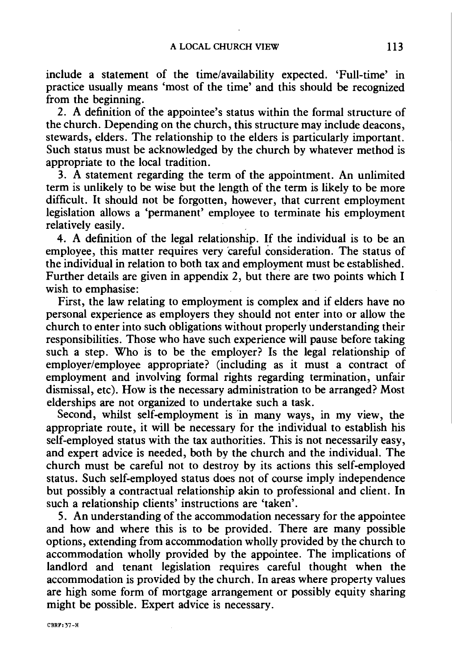include a statement of the time/availability expected. 'Full-time' in practice usually means 'most of the time' and this should be recognized from the beginning.

2. A definition of the appointee's status within the formal structure of the church. Depending on the church, this structure may include deacons, stewards, elders. The relationship to the elders is particularly important. Such status must be acknowledged by the church by whatever method is appropriate to the local tradition.

3. A statement regarding the term of the appointment. An unlimited term is unlikely to be wise but the length of the term is likely to be more difficult. It should not be forgotten, however, that current employment legislation allows a 'permanent' employee to terminate his employment relatively easily.

4. A definition of the legal relationship. If the individual is to be an employee, this matter requires very 'careful consideration. The status of the individual in relation to both tax and employment must be established. Further details are given in appendix 2, but there are two points which I wish to emphasise:

First, the law relating to employment is complex and if elders have no personal experience as employers they should not enter into or allow the church to enter into such obligations without properly understanding their responsibilities. Those who have such experience will pause before taking such a step. Who is to be the employer? Is the legal relationship of employer/employee appropriate? (including as it must a contract of employment and involving formal rights regarding termination, unfair dismissal, etc). How is the necessary administration to be arranged? Most elderships are not organized to undertake such a task.

Second, whilst self-employment is 'in many ways, in my view, the appropriate route, it will be necessary for the individual to establish his self-employed status with the tax authorities. This is not necessarily easy, and expert advice is needed, both by the church and the individual. The church must be careful not to destroy by its actions this self-employed status. Such self-employed status does not of course imply independence but possibly a contractual relationship akin to professional and client. In such a relationship clients' instructions are 'taken'.

5. An understanding of the accommodation necessary for the appointee and how and where this is to be provided. There are many possible options, extending from accommodation wholly provided by the church to accommodation wholly provided by the appointee. The implications of landlord and tenant legislation requires careful thought when the accommodation is provided by the church. In areas where property values are high some form of mortgage arrangement or possibly equity sharing might be possible. Expert advice is necessary.